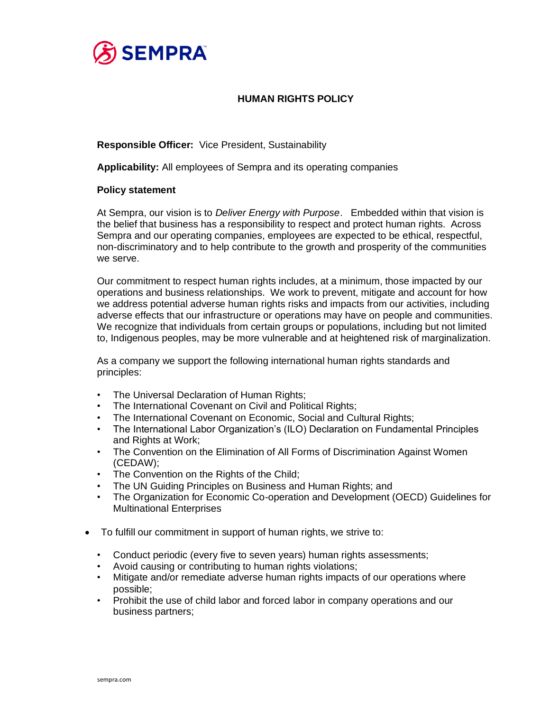

# **HUMAN RIGHTS POLICY**

**Responsible Officer:** Vice President, Sustainability

**Applicability:** All employees of Sempra and its operating companies

### **Policy statement**

At Sempra, our vision is to *Deliver Energy with Purpose*. Embedded within that vision is the belief that business has a responsibility to respect and protect human rights. Across Sempra and our operating companies, employees are expected to be ethical, respectful, non-discriminatory and to help contribute to the growth and prosperity of the communities we serve.

Our commitment to respect human rights includes, at a minimum, those impacted by our operations and business relationships. We work to prevent, mitigate and account for how we address potential adverse human rights risks and impacts from our activities, including adverse effects that our infrastructure or operations may have on people and communities. We recognize that individuals from certain groups or populations, including but not limited to, Indigenous peoples, may be more vulnerable and at heightened risk of marginalization.

As a company we support the following international human rights standards and principles:

- The Universal Declaration of Human Rights;
- The International Covenant on Civil and Political Rights;
- The International Covenant on Economic, Social and Cultural Rights;
- The International Labor Organization's (ILO) Declaration on Fundamental Principles and Rights at Work;
- The Convention on the Elimination of All Forms of Discrimination Against Women (CEDAW);
- The Convention on the Rights of the Child;
- The UN Guiding Principles on Business and Human Rights; and
- The Organization for Economic Co-operation and Development (OECD) Guidelines for Multinational Enterprises
- To fulfill our commitment in support of human rights, we strive to:
	- Conduct periodic (every five to seven years) human rights assessments;
	- Avoid causing or contributing to human rights violations;
	- Mitigate and/or remediate adverse human rights impacts of our operations where possible;
	- Prohibit the use of child labor and forced labor in company operations and our business partners;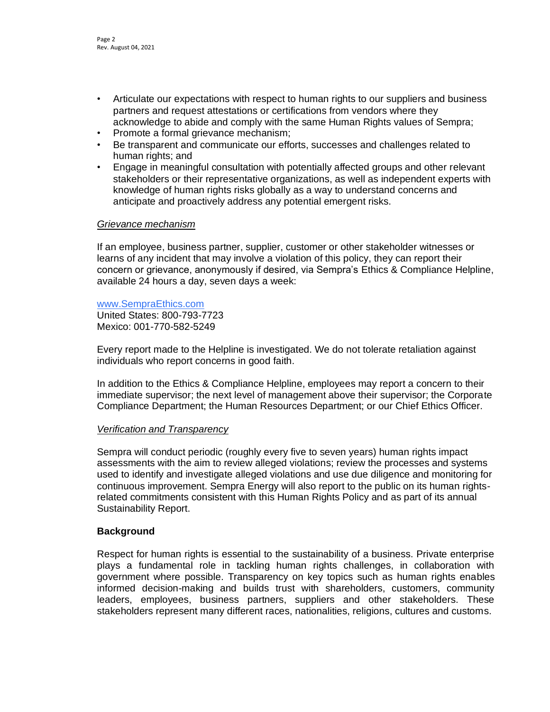- Articulate our expectations with respect to human rights to our suppliers and business partners and request attestations or certifications from vendors where they acknowledge to abide and comply with the same Human Rights values of Sempra;
- Promote a formal grievance mechanism;
- Be transparent and communicate our efforts, successes and challenges related to human rights; and
- Engage in meaningful consultation with potentially affected groups and other relevant stakeholders or their representative organizations, as well as independent experts with knowledge of human rights risks globally as a way to understand concerns and anticipate and proactively address any potential emergent risks.

### *Grievance mechanism*

If an employee, business partner, supplier, customer or other stakeholder witnesses or learns of any incident that may involve a violation of this policy, they can report their concern or grievance, anonymously if desired, via Sempra's Ethics & Compliance Helpline, available 24 hours a day, seven days a week:

#### [www.SempraEthics.com](http://www.sempraethics.com/)

United States: 800-793-7723 Mexico: 001-770-582-5249

Every report made to the Helpline is investigated. We do not tolerate retaliation against individuals who report concerns in good faith.

In addition to the Ethics & Compliance Helpline, employees may report a concern to their immediate supervisor; the next level of management above their supervisor; the Corporate Compliance Department; the Human Resources Department; or our Chief Ethics Officer.

### *Verification and Transparency*

Sempra will conduct periodic (roughly every five to seven years) human rights impact assessments with the aim to review alleged violations; review the processes and systems used to identify and investigate alleged violations and use due diligence and monitoring for continuous improvement. Sempra Energy will also report to the public on its human rightsrelated commitments consistent with this Human Rights Policy and as part of its annual Sustainability Report.

# **Background**

Respect for human rights is essential to the sustainability of a business. Private enterprise plays a fundamental role in tackling human rights challenges, in collaboration with government where possible. Transparency on key topics such as human rights enables informed decision-making and builds trust with shareholders, customers, community leaders, employees, business partners, suppliers and other stakeholders. These stakeholders represent many different races, nationalities, religions, cultures and customs.